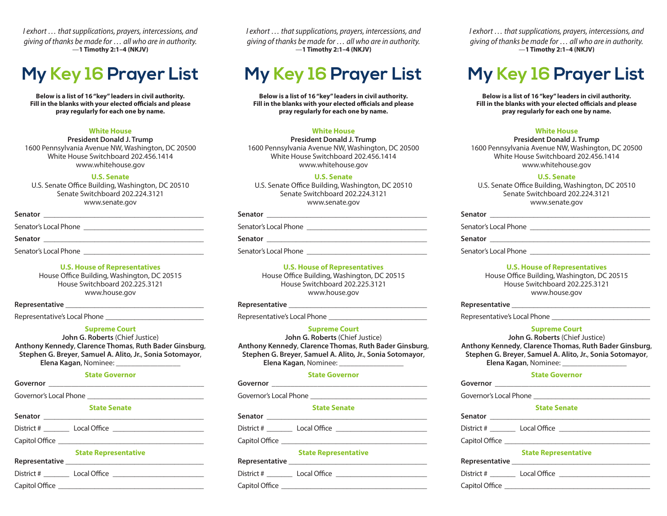*I exhort … that supplications, prayers, intercessions, and giving of thanks be made for … all who are in authority.* —**1 Timothy 2:1–4 (NKJV)**

# **My Key 16 Prayer List**

**Below is a list of 16 "key" leaders in civil authority. Fill in the blanks with your elected officials and please pray regularly for each one by name.**

#### **White House**

**President Donald J. Trump** 1600 Pennsylvania Avenue NW, Washington, DC 20500 White House Switchboard 202.456.1414 www.whitehouse.gov

#### **U.S. Senate**

U.S. Senate Office Building, Washington, DC 20510 Senate Switchboard 202.224.3121 www.senate.gov

| Senator               |  |  |
|-----------------------|--|--|
| Senator's Local Phone |  |  |
| <b>Senator</b>        |  |  |
| Senator's Local Phone |  |  |

**U.S. House of Representatives** House Office Building, Washington, DC 20515 House Switchboard 202.225.3121 www.house.gov

### **Representative** \_\_\_\_\_\_\_\_\_\_\_\_\_\_\_\_\_\_\_\_\_\_\_\_\_\_\_\_\_\_\_\_\_\_\_\_\_\_

Representative's Local Phone \_\_\_\_\_\_\_\_\_\_\_\_\_\_\_\_\_\_\_\_\_\_\_\_\_\_\_

#### **Supreme Court**

**John G. Roberts** (Chief Justice) **Anthony Kennedy**, **Clarence Thomas**, **Ruth Bader Ginsburg**, **Stephen G. Breyer**, **Samuel A. Alito, Jr.**, **Sonia Sotomayor**, **Elena Kagan**, Nominee: \_\_\_\_\_\_\_\_\_\_\_\_\_\_\_\_\_

#### **State Governor**

Governor's Local Phone

#### **State Senate** Senator

District # \_\_\_\_\_\_\_ Local Office \_\_\_\_\_\_\_\_\_\_\_\_\_\_\_\_\_\_\_\_\_\_\_\_\_ Capitol Office **Example 2** 

### **State Representative**

| Representative |              |  |
|----------------|--------------|--|
| District #     | Local Office |  |
| Capitol Office |              |  |

*I exhort … that supplications, prayers, intercessions, and giving of thanks be made for … all who are in authority.* —**1 Timothy 2:1–4 (NKJV)**

## **My Key 16 Prayer List**

**Below is a list of 16 "key" leaders in civil authority. Fill in the blanks with your elected officials and please pray regularly for each one by name.**

#### **White House**

**President Donald J. Trump** 1600 Pennsylvania Avenue NW, Washington, DC 20500 White House Switchboard 202.456.1414 www.whitehouse.gov

#### **U.S. Senate**

U.S. Senate Office Building, Washington, DC 20510 Senate Switchboard 202.224.3121 www.senate.gov

#### **Senator** \_\_\_\_\_\_\_\_\_\_\_\_\_\_\_\_\_\_\_\_\_\_\_\_\_\_\_\_\_\_\_\_\_\_\_\_\_\_\_\_\_\_\_\_

Senator's Local Phone \_\_\_\_\_\_\_\_\_\_\_\_\_\_\_\_\_\_\_\_\_\_\_\_\_\_\_\_\_\_\_\_\_

### **Senator** \_\_\_\_\_\_\_\_\_\_\_\_\_\_\_\_\_\_\_\_\_\_\_\_\_\_\_\_\_\_\_\_\_\_\_\_\_\_\_\_\_\_\_\_

Senator's Local Phone

#### **U.S. House of Representatives**

House Office Building, Washington, DC 20515 House Switchboard 202.225.3121 www.house.gov

#### **Representative** \_\_\_\_\_\_\_\_\_\_\_\_\_\_\_\_\_\_\_\_\_\_\_\_\_\_\_\_\_\_\_\_\_\_\_\_\_\_

Representative's Local Phone

#### **Supreme Court**

**John G. Roberts** (Chief Justice) **Anthony Kennedy**, **Clarence Thomas**, **Ruth Bader Ginsburg**, **Stephen G. Breyer**, **Samuel A. Alito, Jr.**, **Sonia Sotomayor**, **Elena Kagan**, Nominee: \_\_\_\_\_\_\_\_\_\_\_\_\_\_\_\_\_

#### **State Governor**

**Governor** \_\_\_\_\_\_\_\_\_\_\_\_\_\_\_\_\_\_\_\_\_\_\_\_\_\_\_\_\_\_\_\_\_\_\_\_\_\_\_\_\_

Governor's Local Phone

#### **State Senate** Senator **Senator Senator Senator Senator Senator Senator Senator Senator Senator Senator Senator Senator Senator Senator Senator Senator Senator Senator Senator Senator Senator Sen**

| District #     | Local Office |  |
|----------------|--------------|--|
| Capitol Office |              |  |

#### **State Representative**

| Representative |              |  |
|----------------|--------------|--|
| District #     | Local Office |  |

| DISLIICL #     | LUCAI UTTLE |  |
|----------------|-------------|--|
| Capitol Office |             |  |

*I exhort … that supplications, prayers, intercessions, and giving of thanks be made for … all who are in authority.* —**1 Timothy 2:1–4 (NKJV)**

## **My Key 16 Prayer List**

**Below is a list of 16 "key" leaders in civil authority. Fill in the blanks with your elected officials and please pray regularly for each one by name.**

#### **White House**

**President Donald J. Trump** 1600 Pennsylvania Avenue NW, Washington, DC 20500 White House Switchboard 202.456.1414 www.whitehouse.gov

#### **U.S. Senate**

U.S. Senate Office Building, Washington, DC 20510 Senate Switchboard 202.224.3121 www.senate.gov

| Senator               |
|-----------------------|
| Senator's Local Phone |
| Senator               |
| Senator's Local Phone |

#### **U.S. House of Representatives**

House Office Building, Washington, DC 20515 House Switchboard 202.225.3121 www.house.gov

#### **Representative** \_\_\_\_\_\_\_\_\_\_\_\_\_\_\_\_\_\_\_\_\_\_\_\_\_\_\_\_\_\_\_\_\_\_\_\_\_\_

Representative's Local Phone

#### **Supreme Court**

**John G. Roberts** (Chief Justice) **Anthony Kennedy**, **Clarence Thomas**, **Ruth Bader Ginsburg**, **Stephen G. Breyer**, **Samuel A. Alito, Jr.**, **Sonia Sotomayor**, **Elena Kagan**, Nominee: \_\_\_\_\_\_\_\_\_\_\_\_\_\_\_\_\_

#### **State Governor**

**Governor** \_\_\_\_\_\_\_\_\_\_\_\_\_\_\_\_\_\_\_\_\_\_\_\_\_\_\_\_\_\_\_\_\_\_\_\_\_\_\_\_\_ Governor's Local Phone

| <b>State Senate</b> |              |  |
|---------------------|--------------|--|
| Senator             |              |  |
| District #          | Local Office |  |
| Capitol Office      |              |  |

|                | <b>State Representative</b> |
|----------------|-----------------------------|
| Representative |                             |
| District #     | Local Office                |
| Capitol Office |                             |